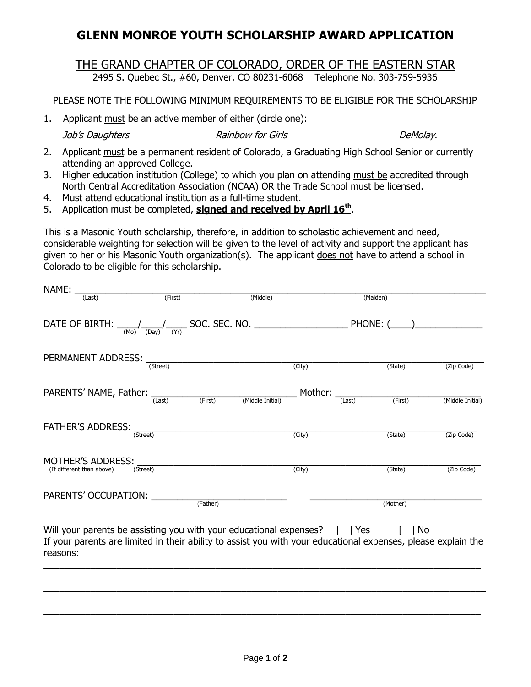## **GLENN MONROE YOUTH SCHOLARSHIP AWARD APPLICATION**

## THE GRAND CHAPTER OF COLORADO, ORDER OF THE EASTERN STAR

2495 S. Quebec St., #60, Denver, CO 80231-6068 Telephone No. 303-759-5936

PLEASE NOTE THE FOLLOWING MINIMUM REQUIREMENTS TO BE ELIGIBLE FOR THE SCHOLARSHIP

1. Applicant must be an active member of either (circle one):

Job's Daughters Rainbow for Girls DeMolay.

- 2. Applicant must be a permanent resident of Colorado, a Graduating High School Senior or currently attending an approved College.
- 3. Higher education institution (College) to which you plan on attending must be accredited through North Central Accreditation Association (NCAA) OR the Trade School must be licensed.
- 4. Must attend educational institution as a full-time student.
- 5. Application must be completed, **signed and received by April 16th** .

This is a Masonic Youth scholarship, therefore, in addition to scholastic achievement and need, considerable weighting for selection will be given to the level of activity and support the applicant has given to her or his Masonic Youth organization(s). The applicant does not have to attend a school in Colorado to be eligible for this scholarship.

| NAME:                                          |                                |                                                                                                          |                                                                                                               |                  |  |
|------------------------------------------------|--------------------------------|----------------------------------------------------------------------------------------------------------|---------------------------------------------------------------------------------------------------------------|------------------|--|
| (Last)                                         | (First)                        | (Middle)                                                                                                 | (Maiden)                                                                                                      |                  |  |
|                                                |                                |                                                                                                          |                                                                                                               |                  |  |
| PERMANENT ADDRESS: (Street)                    |                                | (City)                                                                                                   | (State)                                                                                                       | (Zip Code)       |  |
|                                                |                                | PARENTS' NAME, Father: $\frac{1}{(Last)}$ (First) (Middle Initial) Mother: $\frac{1}{(Last)}$<br>(First) |                                                                                                               |                  |  |
|                                                |                                |                                                                                                          |                                                                                                               | (Middle Initial) |  |
| <b>FATHER'S ADDRESS:</b>                       | (Street)                       | (City)                                                                                                   | (State)                                                                                                       | (Zip Code)       |  |
| MOTHER'S ADDRESS:<br>(If different than above) | (Street)                       | (City)                                                                                                   | (State)                                                                                                       | (Zip Code)       |  |
|                                                | PARENTS' OCCUPATION:  (Father) |                                                                                                          | (Mother)                                                                                                      |                  |  |
| reasons:                                       |                                | Will your parents be assisting you with your educational expenses? $\parallel$ Yes                       | If your parents are limited in their ability to assist you with your educational expenses, please explain the | No.              |  |
|                                                |                                |                                                                                                          |                                                                                                               |                  |  |

 $\_$  , and the set of the set of the set of the set of the set of the set of the set of the set of the set of the set of the set of the set of the set of the set of the set of the set of the set of the set of the set of th